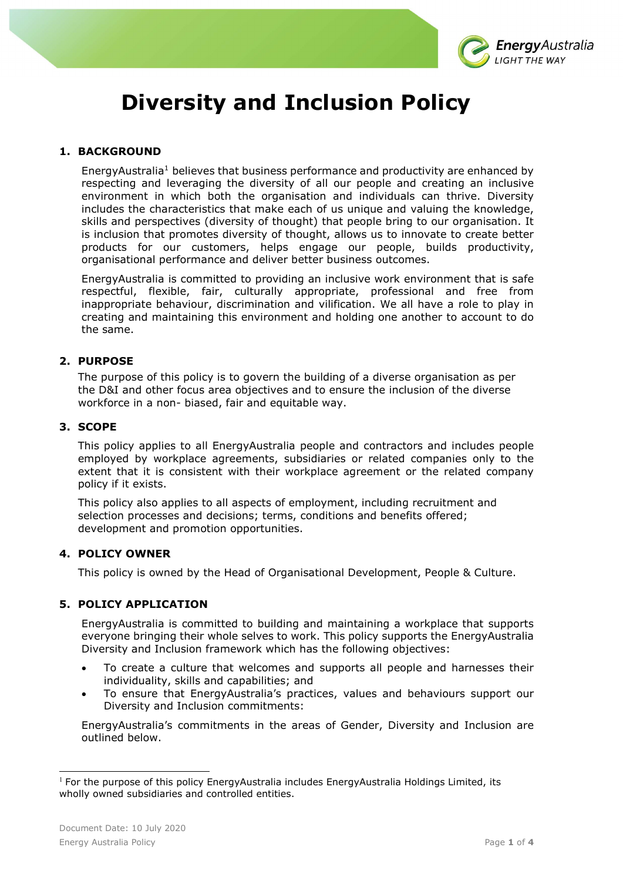

# Diversity and Inclusion Policy

# 1. BACKGROUND

EnergyAustralia<sup>1</sup> believes that business performance and productivity are enhanced by respecting and leveraging the diversity of all our people and creating an inclusive environment in which both the organisation and individuals can thrive. Diversity includes the characteristics that make each of us unique and valuing the knowledge, skills and perspectives (diversity of thought) that people bring to our organisation. It is inclusion that promotes diversity of thought, allows us to innovate to create better products for our customers, helps engage our people, builds productivity, organisational performance and deliver better business outcomes.

EnergyAustralia is committed to providing an inclusive work environment that is safe respectful, flexible, fair, culturally appropriate, professional and free from inappropriate behaviour, discrimination and vilification. We all have a role to play in creating and maintaining this environment and holding one another to account to do the same.

### 2. PURPOSE

The purpose of this policy is to govern the building of a diverse organisation as per the D&I and other focus area objectives and to ensure the inclusion of the diverse workforce in a non- biased, fair and equitable way.

#### 3. SCOPE

This policy applies to all EnergyAustralia people and contractors and includes people employed by workplace agreements, subsidiaries or related companies only to the extent that it is consistent with their workplace agreement or the related company policy if it exists.

This policy also applies to all aspects of employment, including recruitment and selection processes and decisions; terms, conditions and benefits offered; development and promotion opportunities.

#### 4. POLICY OWNER

This policy is owned by the Head of Organisational Development, People & Culture.

# 5. POLICY APPLICATION

EnergyAustralia is committed to building and maintaining a workplace that supports everyone bringing their whole selves to work. This policy supports the EnergyAustralia Diversity and Inclusion framework which has the following objectives:

- To create a culture that welcomes and supports all people and harnesses their individuality, skills and capabilities; and
- To ensure that EnergyAustralia's practices, values and behaviours support our Diversity and Inclusion commitments:

EnergyAustralia's commitments in the areas of Gender, Diversity and Inclusion are outlined below.

<sup>&</sup>lt;sup>1</sup> For the purpose of this policy EnergyAustralia includes EnergyAustralia Holdings Limited, its wholly owned subsidiaries and controlled entities.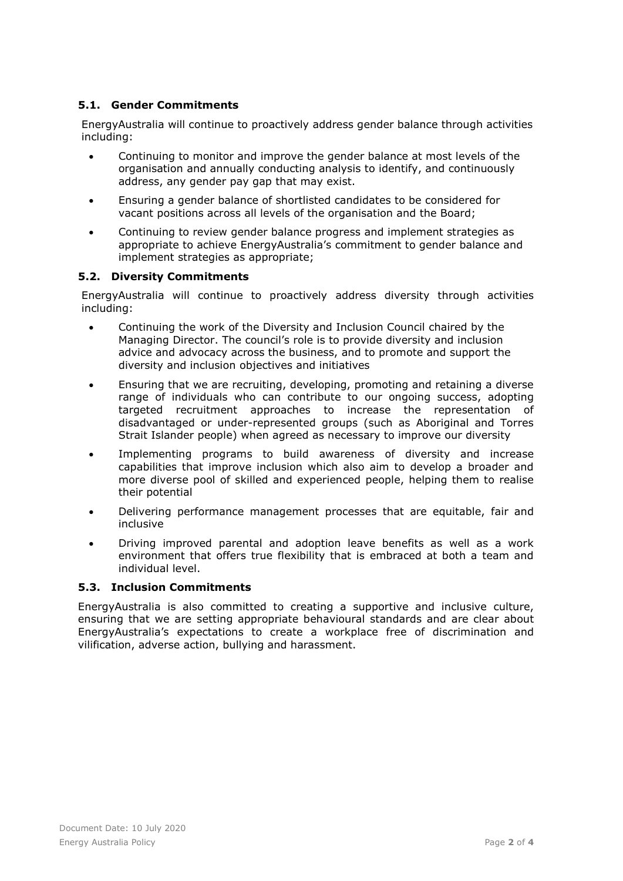# 5.1. Gender Commitments

EnergyAustralia will continue to proactively address gender balance through activities including:

- Continuing to monitor and improve the gender balance at most levels of the organisation and annually conducting analysis to identify, and continuously address, any gender pay gap that may exist.
- Ensuring a gender balance of shortlisted candidates to be considered for vacant positions across all levels of the organisation and the Board;
- Continuing to review gender balance progress and implement strategies as appropriate to achieve EnergyAustralia's commitment to gender balance and implement strategies as appropriate;

# 5.2. Diversity Commitments

EnergyAustralia will continue to proactively address diversity through activities including:

- Continuing the work of the Diversity and Inclusion Council chaired by the Managing Director. The council's role is to provide diversity and inclusion advice and advocacy across the business, and to promote and support the diversity and inclusion objectives and initiatives
- Ensuring that we are recruiting, developing, promoting and retaining a diverse range of individuals who can contribute to our ongoing success, adopting targeted recruitment approaches to increase the representation of disadvantaged or under-represented groups (such as Aboriginal and Torres Strait Islander people) when agreed as necessary to improve our diversity
- Implementing programs to build awareness of diversity and increase capabilities that improve inclusion which also aim to develop a broader and more diverse pool of skilled and experienced people, helping them to realise their potential
- Delivering performance management processes that are equitable, fair and inclusive
- Driving improved parental and adoption leave benefits as well as a work environment that offers true flexibility that is embraced at both a team and individual level.

# 5.3. Inclusion Commitments

EnergyAustralia is also committed to creating a supportive and inclusive culture, ensuring that we are setting appropriate behavioural standards and are clear about EnergyAustralia's expectations to create a workplace free of discrimination and vilification, adverse action, bullying and harassment.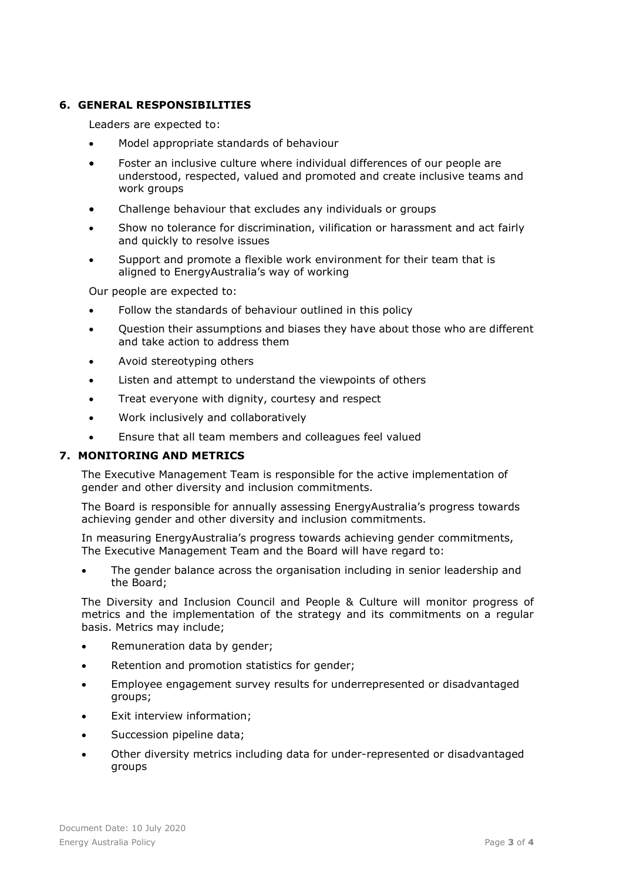## 6. GENERAL RESPONSIBILITIES

Leaders are expected to:

- Model appropriate standards of behaviour
- Foster an inclusive culture where individual differences of our people are understood, respected, valued and promoted and create inclusive teams and work groups
- Challenge behaviour that excludes any individuals or groups
- Show no tolerance for discrimination, vilification or harassment and act fairly and quickly to resolve issues
- Support and promote a flexible work environment for their team that is aligned to EnergyAustralia's way of working

Our people are expected to:

- Follow the standards of behaviour outlined in this policy
- Question their assumptions and biases they have about those who are different and take action to address them
- Avoid stereotyping others
- Listen and attempt to understand the viewpoints of others
- Treat everyone with dignity, courtesy and respect
- Work inclusively and collaboratively
- Ensure that all team members and colleagues feel valued

#### 7. MONITORING AND METRICS

The Executive Management Team is responsible for the active implementation of gender and other diversity and inclusion commitments.

The Board is responsible for annually assessing EnergyAustralia's progress towards achieving gender and other diversity and inclusion commitments.

In measuring EnergyAustralia's progress towards achieving gender commitments, The Executive Management Team and the Board will have regard to:

 The gender balance across the organisation including in senior leadership and the Board;

The Diversity and Inclusion Council and People & Culture will monitor progress of metrics and the implementation of the strategy and its commitments on a regular basis. Metrics may include;

- Remuneration data by gender;
- Retention and promotion statistics for gender;
- Employee engagement survey results for underrepresented or disadvantaged groups;
- Exit interview information;
- Succession pipeline data;
- Other diversity metrics including data for under-represented or disadvantaged groups